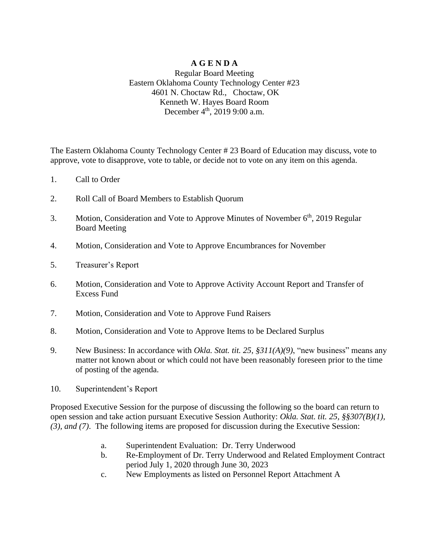## **A G E N D A** Regular Board Meeting Eastern Oklahoma County Technology Center #23 4601 N. Choctaw Rd., Choctaw, OK Kenneth W. Hayes Board Room December 4<sup>th</sup>, 2019 9:00 a.m.

The Eastern Oklahoma County Technology Center # 23 Board of Education may discuss, vote to approve, vote to disapprove, vote to table, or decide not to vote on any item on this agenda.

- 1. Call to Order
- 2. Roll Call of Board Members to Establish Quorum
- 3. Motion, Consideration and Vote to Approve Minutes of November 6<sup>th</sup>, 2019 Regular Board Meeting
- 4. Motion, Consideration and Vote to Approve Encumbrances for November
- 5. Treasurer's Report
- 6. Motion, Consideration and Vote to Approve Activity Account Report and Transfer of Excess Fund
- 7. Motion, Consideration and Vote to Approve Fund Raisers
- 8. Motion, Consideration and Vote to Approve Items to be Declared Surplus
- 9. New Business: In accordance with *Okla. Stat. tit. 25, §311(A)(9)*, "new business" means any matter not known about or which could not have been reasonably foreseen prior to the time of posting of the agenda.
- 10. Superintendent's Report

Proposed Executive Session for the purpose of discussing the following so the board can return to open session and take action pursuant Executive Session Authority: *Okla. Stat. tit. 25, §§307(B)(1), (3), and (7)*. The following items are proposed for discussion during the Executive Session:

- a. Superintendent Evaluation: Dr. Terry Underwood
- b. Re-Employment of Dr. Terry Underwood and Related Employment Contract period July 1, 2020 through June 30, 2023
- c. New Employments as listed on Personnel Report Attachment A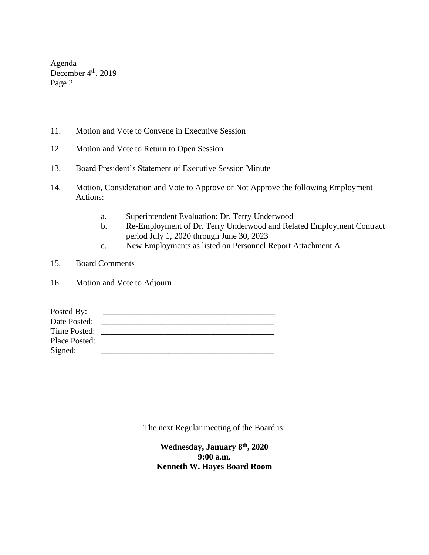Agenda December  $4<sup>th</sup>$ , 2019 Page 2

- 11. Motion and Vote to Convene in Executive Session
- 12. Motion and Vote to Return to Open Session
- 13. Board President's Statement of Executive Session Minute
- 14. Motion, Consideration and Vote to Approve or Not Approve the following Employment Actions:
	- a. Superintendent Evaluation: Dr. Terry Underwood
	- b. Re-Employment of Dr. Terry Underwood and Related Employment Contract period July 1, 2020 through June 30, 2023
	- c. New Employments as listed on Personnel Report Attachment A
- 15. Board Comments
- 16. Motion and Vote to Adjourn

| Posted By:    |  |
|---------------|--|
| Date Posted:  |  |
| Time Posted:  |  |
| Place Posted: |  |
| Signed:       |  |

The next Regular meeting of the Board is:

**Wednesday, January 8 th, 2020 9:00 a.m. Kenneth W. Hayes Board Room**